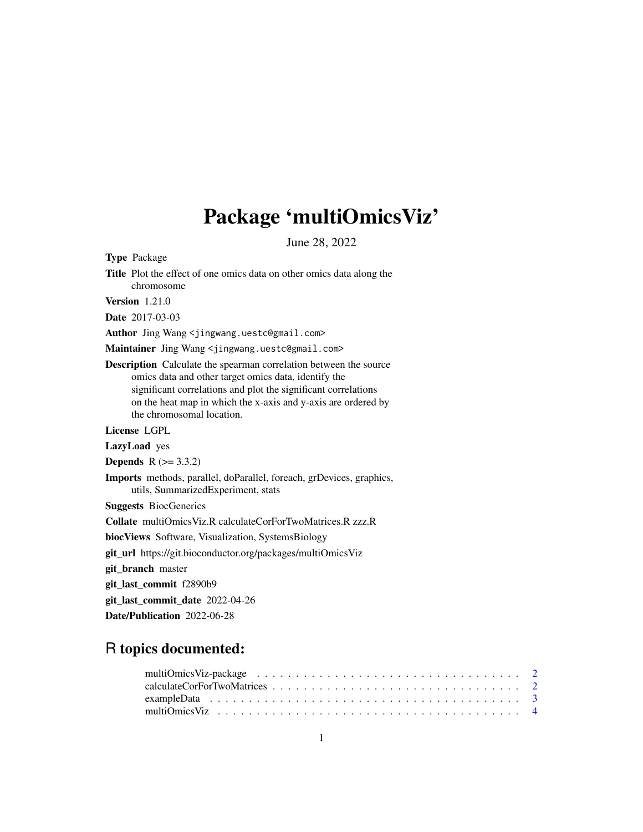## Package 'multiOmicsViz'

June 28, 2022

Type Package

Title Plot the effect of one omics data on other omics data along the chromosome Version 1.21.0 Date 2017-03-03 Author Jing Wang <jingwang.uestc@gmail.com> Maintainer Jing Wang <jingwang.uestc@gmail.com> Description Calculate the spearman correlation between the source omics data and other target omics data, identify the significant correlations and plot the significant correlations on the heat map in which the x-axis and y-axis are ordered by the chromosomal location. License LGPL LazyLoad yes **Depends**  $R (= 3.3.2)$ Imports methods, parallel, doParallel, foreach, grDevices, graphics, utils, SummarizedExperiment, stats Suggests BiocGenerics Collate multiOmicsViz.R calculateCorForTwoMatrices.R zzz.R biocViews Software, Visualization, SystemsBiology git\_url https://git.bioconductor.org/packages/multiOmicsViz git\_branch master git\_last\_commit f2890b9 git\_last\_commit\_date 2022-04-26 Date/Publication 2022-06-28

### R topics documented: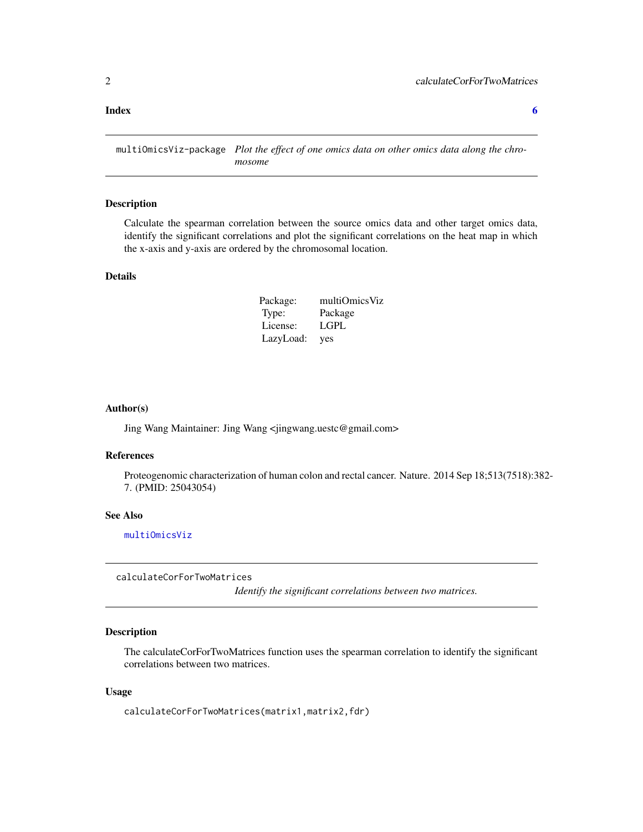#### <span id="page-1-0"></span>**Index** [6](#page-5-0) **6**

multiOmicsViz-package *Plot the effect of one omics data on other omics data along the chromosome*

#### Description

Calculate the spearman correlation between the source omics data and other target omics data, identify the significant correlations and plot the significant correlations on the heat map in which the x-axis and y-axis are ordered by the chromosomal location.

#### Details

| Package:  | multiOmicsViz |
|-----------|---------------|
| Type:     | Package       |
| License:  | LGPL          |
| LazyLoad: | yes           |

#### Author(s)

Jing Wang Maintainer: Jing Wang <jingwang.uestc@gmail.com>

#### References

Proteogenomic characterization of human colon and rectal cancer. Nature. 2014 Sep 18;513(7518):382- 7. (PMID: 25043054)

#### See Also

[multiOmicsViz](#page-3-1)

calculateCorForTwoMatrices

*Identify the significant correlations between two matrices.*

#### Description

The calculateCorForTwoMatrices function uses the spearman correlation to identify the significant correlations between two matrices.

#### Usage

calculateCorForTwoMatrices(matrix1,matrix2,fdr)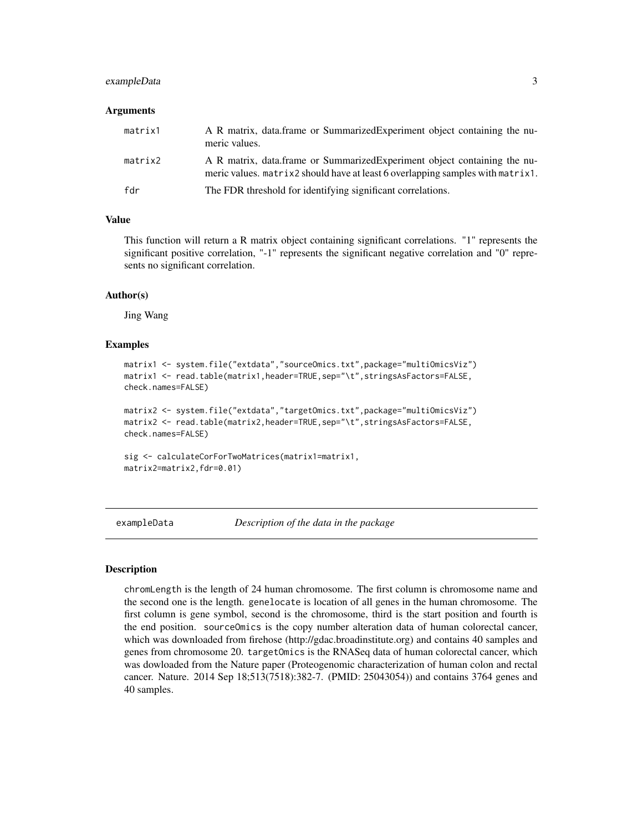#### <span id="page-2-0"></span>exampleData 3

#### Arguments

| matrix1 | A R matrix, data.frame or SummarizedExperiment object containing the nu-<br>meric values.                                                                  |
|---------|------------------------------------------------------------------------------------------------------------------------------------------------------------|
| matrix2 | A R matrix, data.frame or SummarizedExperiment object containing the nu-<br>meric values. matrix2 should have at least 6 overlapping samples with matrix1. |
| fdr     | The FDR threshold for identifying significant correlations.                                                                                                |

#### Value

This function will return a R matrix object containing significant correlations. "1" represents the significant positive correlation, "-1" represents the significant negative correlation and "0" represents no significant correlation.

#### Author(s)

Jing Wang

#### Examples

```
matrix1 <- system.file("extdata","sourceOmics.txt",package="multiOmicsViz")
matrix1 <- read.table(matrix1,header=TRUE,sep="\t",stringsAsFactors=FALSE,
check.names=FALSE)
```

```
matrix2 <- system.file("extdata","targetOmics.txt",package="multiOmicsViz")
matrix2 <- read.table(matrix2,header=TRUE,sep="\t",stringsAsFactors=FALSE,
check.names=FALSE)
```

```
sig <- calculateCorForTwoMatrices(matrix1=matrix1,
matrix2=matrix2,fdr=0.01)
```
exampleData *Description of the data in the package*

#### Description

chromLength is the length of 24 human chromosome. The first column is chromosome name and the second one is the length. genelocate is location of all genes in the human chromosome. The first column is gene symbol, second is the chromosome, third is the start position and fourth is the end position. sourceOmics is the copy number alteration data of human colorectal cancer, which was downloaded from firehose (http://gdac.broadinstitute.org) and contains 40 samples and genes from chromosome 20. targetOmics is the RNASeq data of human colorectal cancer, which was dowloaded from the Nature paper (Proteogenomic characterization of human colon and rectal cancer. Nature. 2014 Sep 18;513(7518):382-7. (PMID: 25043054)) and contains 3764 genes and 40 samples.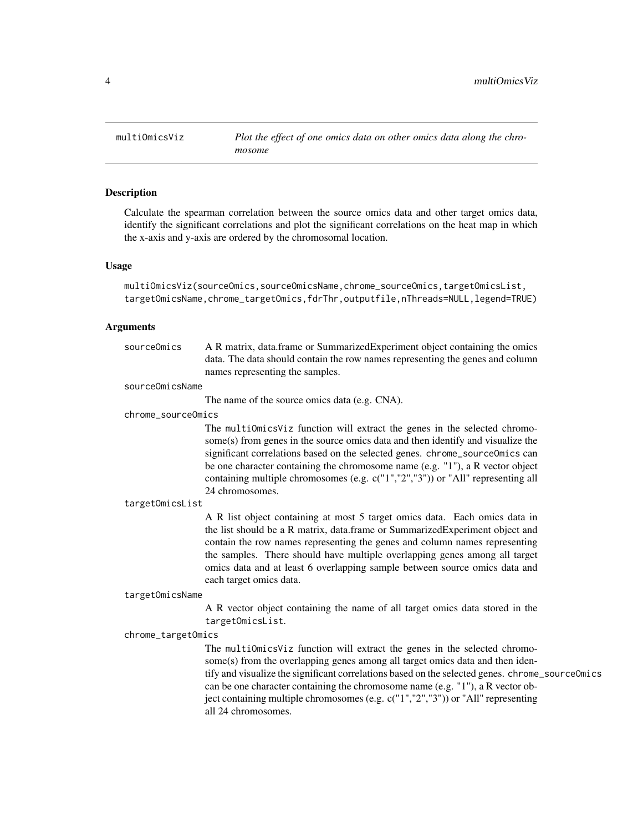<span id="page-3-1"></span><span id="page-3-0"></span>

#### Description

Calculate the spearman correlation between the source omics data and other target omics data, identify the significant correlations and plot the significant correlations on the heat map in which the x-axis and y-axis are ordered by the chromosomal location.

#### Usage

```
multiOmicsViz(sourceOmics,sourceOmicsName,chrome_sourceOmics,targetOmicsList,
targetOmicsName,chrome_targetOmics,fdrThr,outputfile,nThreads=NULL,legend=TRUE)
```
#### Arguments

| sourceOmics        | A R matrix, data.frame or SummarizedExperiment object containing the omics<br>data. The data should contain the row names representing the genes and column<br>names representing the samples.                                                                                                                                                                                                                                      |  |  |
|--------------------|-------------------------------------------------------------------------------------------------------------------------------------------------------------------------------------------------------------------------------------------------------------------------------------------------------------------------------------------------------------------------------------------------------------------------------------|--|--|
| sourceOmicsName    |                                                                                                                                                                                                                                                                                                                                                                                                                                     |  |  |
|                    | The name of the source omics data (e.g. CNA).                                                                                                                                                                                                                                                                                                                                                                                       |  |  |
| chrome_sourceOmics |                                                                                                                                                                                                                                                                                                                                                                                                                                     |  |  |
|                    | The multiOmicsViz function will extract the genes in the selected chromo-<br>some(s) from genes in the source omics data and then identify and visualize the<br>significant correlations based on the selected genes. chrome_source0mics can<br>be one character containing the chromosome name (e.g. "1"), a R vector object<br>containing multiple chromosomes (e.g. c("1","2","3")) or "All" representing all<br>24 chromosomes. |  |  |
| targetOmicsList    |                                                                                                                                                                                                                                                                                                                                                                                                                                     |  |  |
|                    | A R list object containing at most 5 target omics data. Each omics data in<br>the list should be a R matrix, data frame or Summarized Experiment object and<br>contain the row names representing the genes and column names representing<br>the samples. There should have multiple overlapping genes among all target<br>omics data and at least 6 overlapping sample between source omics data and<br>each target omics data.    |  |  |

#### targetOmicsName

A R vector object containing the name of all target omics data stored in the targetOmicsList.

#### chrome\_targetOmics

The multiOmicsViz function will extract the genes in the selected chromosome(s) from the overlapping genes among all target omics data and then identify and visualize the significant correlations based on the selected genes. chrome\_sourceOmics can be one character containing the chromosome name (e.g. "1"), a R vector object containing multiple chromosomes (e.g. c("1","2","3")) or "All" representing all 24 chromosomes.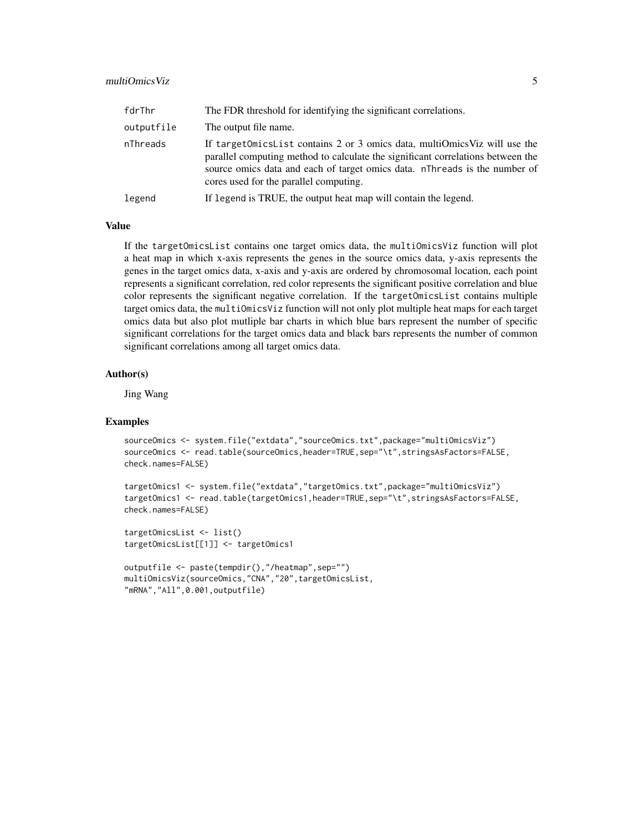#### multiOmicsViz 5

| fdrThr     | The FDR threshold for identifying the significant correlations.                                                                                                                                                                                                                         |
|------------|-----------------------------------------------------------------------------------------------------------------------------------------------------------------------------------------------------------------------------------------------------------------------------------------|
| outputfile | The output file name.                                                                                                                                                                                                                                                                   |
| nThreads   | If target Omics List contains 2 or 3 omics data, multiOmics Viz will use the<br>parallel computing method to calculate the significant correlations between the<br>source omics data and each of target omics data. nThreads is the number of<br>cores used for the parallel computing. |
| legend     | If legend is TRUE, the output heat map will contain the legend.                                                                                                                                                                                                                         |

#### Value

If the targetOmicsList contains one target omics data, the multiOmicsViz function will plot a heat map in which x-axis represents the genes in the source omics data, y-axis represents the genes in the target omics data, x-axis and y-axis are ordered by chromosomal location, each point represents a significant correlation, red color represents the significant positive correlation and blue color represents the significant negative correlation. If the targetOmicsList contains multiple target omics data, the multiOmicsViz function will not only plot multiple heat maps for each target omics data but also plot mutliple bar charts in which blue bars represent the number of specific significant correlations for the target omics data and black bars represents the number of common significant correlations among all target omics data.

#### Author(s)

Jing Wang

#### Examples

```
sourceOmics <- system.file("extdata","sourceOmics.txt",package="multiOmicsViz")
sourceOmics <- read.table(sourceOmics,header=TRUE,sep="\t",stringsAsFactors=FALSE,
check.names=FALSE)
```

```
targetOmics1 <- system.file("extdata","targetOmics.txt",package="multiOmicsViz")
targetOmics1 <- read.table(targetOmics1,header=TRUE,sep="\t",stringsAsFactors=FALSE,
check.names=FALSE)
```

```
targetOmicsList <- list()
targetOmicsList[[1]] <- targetOmics1
```

```
outputfile <- paste(tempdir(),"/heatmap",sep="")
multiOmicsViz(sourceOmics,"CNA","20",targetOmicsList,
"mRNA","All",0.001,outputfile)
```